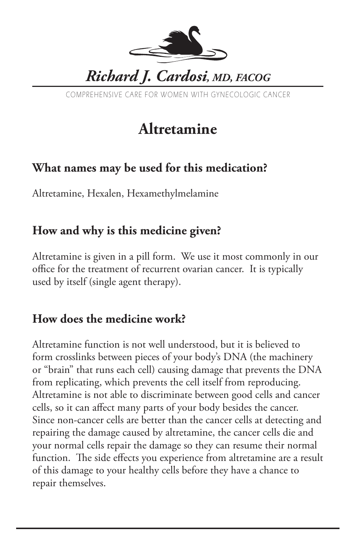

COMPREHENSIVE CARE FOR WOMEN WITH GYNECOLOGIC CANCER

# **Altretamine**

## **What names may be used for this medication?**

Altretamine, Hexalen, Hexamethylmelamine

## **How and why is this medicine given?**

Altretamine is given in a pill form. We use it most commonly in our office for the treatment of recurrent ovarian cancer. It is typically used by itself (single agent therapy).

## **How does the medicine work?**

Altretamine function is not well understood, but it is believed to form crosslinks between pieces of your body's DNA (the machinery or "brain" that runs each cell) causing damage that prevents the DNA from replicating, which prevents the cell itself from reproducing. Altretamine is not able to discriminate between good cells and cancer cells, so it can affect many parts of your body besides the cancer. Since non-cancer cells are better than the cancer cells at detecting and repairing the damage caused by altretamine, the cancer cells die and your normal cells repair the damage so they can resume their normal function. The side effects you experience from altretamine are a result of this damage to your healthy cells before they have a chance to repair themselves.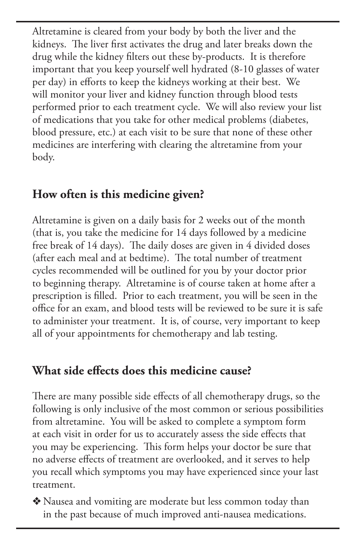Altretamine is cleared from your body by both the liver and the kidneys. The liver first activates the drug and later breaks down the drug while the kidney filters out these by-products. It is therefore important that you keep yourself well hydrated (8-10 glasses of water per day) in efforts to keep the kidneys working at their best. We will monitor your liver and kidney function through blood tests performed prior to each treatment cycle. We will also review your list of medications that you take for other medical problems (diabetes, blood pressure, etc.) at each visit to be sure that none of these other medicines are interfering with clearing the altretamine from your body.

### **How often is this medicine given?**

Altretamine is given on a daily basis for 2 weeks out of the month (that is, you take the medicine for 14 days followed by a medicine free break of 14 days). The daily doses are given in 4 divided doses (after each meal and at bedtime). The total number of treatment cycles recommended will be outlined for you by your doctor prior to beginning therapy. Altretamine is of course taken at home after a prescription is filled. Prior to each treatment, you will be seen in the office for an exam, and blood tests will be reviewed to be sure it is safe to administer your treatment. It is, of course, very important to keep all of your appointments for chemotherapy and lab testing.

## **What side effects does this medicine cause?**

There are many possible side effects of all chemotherapy drugs, so the following is only inclusive of the most common or serious possibilities from altretamine. You will be asked to complete a symptom form at each visit in order for us to accurately assess the side effects that you may be experiencing. This form helps your doctor be sure that no adverse effects of treatment are overlooked, and it serves to help you recall which symptoms you may have experienced since your last treatment.

◆ Nausea and vomiting are moderate but less common today than in the past because of much improved anti-nausea medications.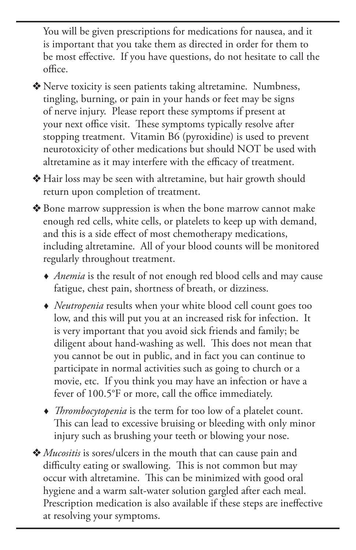You will be given prescriptions for medications for nausea, and it is important that you take them as directed in order for them to be most effective. If you have questions, do not hesitate to call the office.

◆ Nerve toxicity is seen patients taking altretamine. Numbness, tingling, burning, or pain in your hands or feet may be signs of nerve injury. Please report these symptoms if present at your next office visit. These symptoms typically resolve after stopping treatment. Vitamin B6 (pyroxidine) is used to prevent neurotoxicity of other medications but should NOT be used with altretamine as it may interfere with the efficacy of treatment.

v Hair loss may be seen with altretamine, but hair growth should return upon completion of treatment.

v Bone marrow suppression is when the bone marrow cannot make enough red cells, white cells, or platelets to keep up with demand, and this is a side effect of most chemotherapy medications, including altretamine. All of your blood counts will be monitored regularly throughout treatment.

- *Anemia* is the result of not enough red blood cells and may cause fatigue, chest pain, shortness of breath, or dizziness.
- *Neutropenia* results when your white blood cell count goes too low, and this will put you at an increased risk for infection. It is very important that you avoid sick friends and family; be diligent about hand-washing as well. This does not mean that you cannot be out in public, and in fact you can continue to participate in normal activities such as going to church or a movie, etc. If you think you may have an infection or have a fever of 100.5°F or more, call the office immediately.
- *Thrombocytopenia* is the term for too low of a platelet count. This can lead to excessive bruising or bleeding with only minor injury such as brushing your teeth or blowing your nose.
- v *Mucositis* is sores/ulcers in the mouth that can cause pain and difficulty eating or swallowing. This is not common but may occur with altretamine. This can be minimized with good oral hygiene and a warm salt-water solution gargled after each meal. Prescription medication is also available if these steps are ineffective at resolving your symptoms.